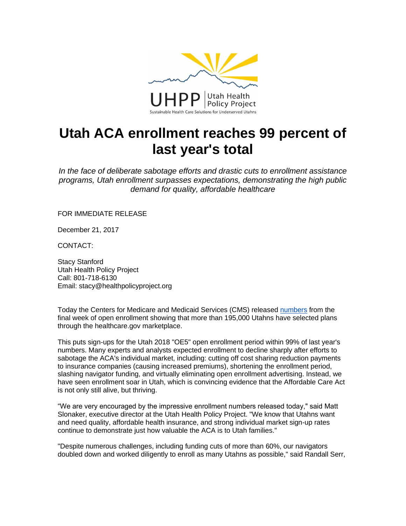

## **Utah ACA enrollment reaches 99 percent of last year's total**

*In the face of deliberate sabotage efforts and drastic cuts to enrollment assistance programs, Utah enrollment surpasses expectations, demonstrating the high public demand for quality, affordable healthcare*

FOR IMMEDIATE RELEASE

December 21, 2017

CONTACT:

Stacy Stanford Utah Health Policy Project Call: 801-718-6130 Email: stacy@healthpolicyproject.org

Today the Centers for Medicare and Medicaid Services (CMS) released [numbers](https://www.cms.gov/Newsroom/MediaReleaseDatabase/Fact-sheets/2017-Fact-Sheet-items/2017-12-21.html) from the final week of open enrollment showing that more than 195,000 Utahns have selected plans through the healthcare.gov marketplace.

This puts sign-ups for the Utah 2018 "OE5" open enrollment period within 99% of last year's numbers. Many experts and analysts expected enrollment to decline sharply after efforts to sabotage the ACA's individual market, including: cutting off cost sharing reduction payments to insurance companies (causing increased premiums), shortening the enrollment period, slashing navigator funding, and virtually eliminating open enrollment advertising. Instead, we have seen enrollment soar in Utah, which is convincing evidence that the Affordable Care Act is not only still alive, but thriving.

"We are very encouraged by the impressive enrollment numbers released today," said Matt Slonaker, executive director at the Utah Health Policy Project. "We know that Utahns want and need quality, affordable health insurance, and strong individual market sign-up rates continue to demonstrate just how valuable the ACA is to Utah families."

"Despite numerous challenges, including funding cuts of more than 60%, our navigators doubled down and worked diligently to enroll as many Utahns as possible," said Randall Serr,